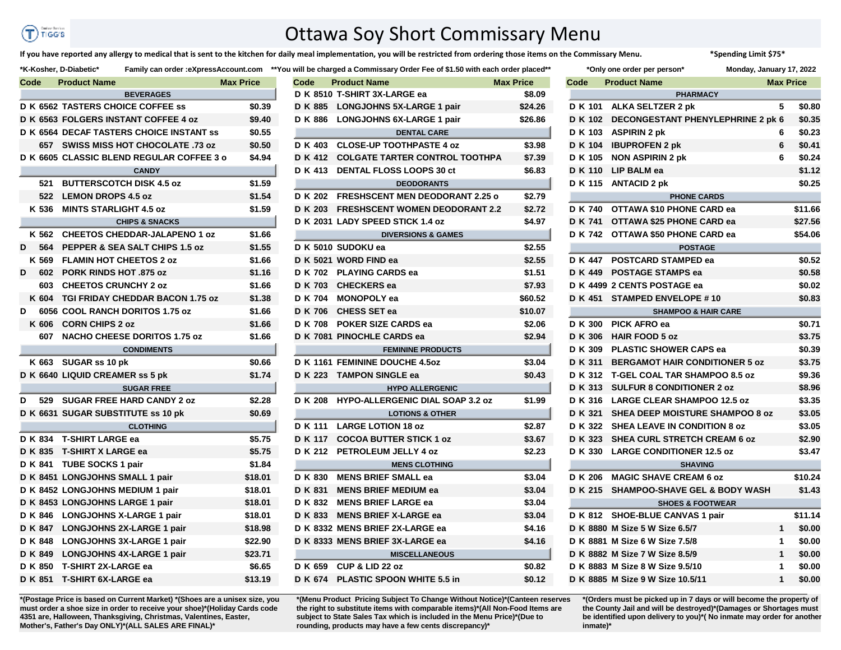## Contractive to ŒΤ **TIGG'S**

## Ottawa Soy Short Commissary Menu

**If you have reported any allergy to medical that is sent to the kitchen for daily meal implementation, you will be restricted from ordering those items on the Commissary Menu. \*Spending Limit \$75\***

|                  | Code |         | <b>Product Name</b>                       | <b>Max Price</b> |  |  |  |
|------------------|------|---------|-------------------------------------------|------------------|--|--|--|
| <b>BEVERAGES</b> |      |         |                                           |                  |  |  |  |
|                  |      |         | D K 6562 TASTERS CHOICE COFFEE ss         | \$0.39           |  |  |  |
|                  |      |         | D K 6563 FOLGERS INSTANT COFFEE 4 oz      | \$9.40           |  |  |  |
|                  |      |         | D K 6564 DECAF TASTERS CHOICE INSTANT SS  | \$0.55           |  |  |  |
|                  |      | 657 -   | <b>SWISS MISS HOT CHOCOLATE .73 oz</b>    | \$0.50           |  |  |  |
|                  |      |         | D K 6605 CLASSIC BLEND REGULAR COFFEE 3 o | \$4.94           |  |  |  |
|                  |      |         | <b>CANDY</b>                              |                  |  |  |  |
|                  |      | 521     | <b>BUTTERSCOTCH DISK 4.5 oz</b>           | \$1.59           |  |  |  |
|                  |      | 522     | <b>LEMON DROPS 4.5 oz</b>                 | \$1.54           |  |  |  |
|                  |      | K 536   | <b>MINTS STARLIGHT 4.5 oz</b>             | \$1.59           |  |  |  |
|                  |      |         | <b>CHIPS &amp; SNACKS</b>                 |                  |  |  |  |
|                  |      | K 562   | <b>CHEETOS CHEDDAR-JALAPENO 1 oz</b>      | \$1.66           |  |  |  |
| D                |      | 564     | PEPPER & SEA SALT CHIPS 1.5 oz            | \$1.55           |  |  |  |
|                  |      | K 569   | <b>FLAMIN HOT CHEETOS 2 oz</b>            | \$1.66           |  |  |  |
| D                |      | 602     | <b>PORK RINDS HOT .875 oz</b>             | \$1.16           |  |  |  |
|                  |      | 603     | <b>CHEETOS CRUNCHY 2 oz</b>               | \$1.66           |  |  |  |
|                  |      | K 604   | <b>TGI FRIDAY CHEDDAR BACON 1.75 oz</b>   | \$1.38           |  |  |  |
| D                |      |         | 6056 COOL RANCH DORITOS 1.75 oz           | \$1.66           |  |  |  |
|                  |      | K 606   | <b>CORN CHIPS 2 oz</b>                    | \$1.66           |  |  |  |
|                  |      | 607     | <b>NACHO CHEESE DORITOS 1.75 oz</b>       | \$1.66           |  |  |  |
|                  |      |         | <b>CONDIMENTS</b>                         |                  |  |  |  |
|                  |      | K 663   | SUGAR ss 10 pk                            | \$0.66           |  |  |  |
|                  |      |         | D K 6640 LIQUID CREAMER ss 5 pk           | \$1.74           |  |  |  |
|                  |      |         | <b>SUGAR FREE</b>                         |                  |  |  |  |
| D                |      | 529     | <b>SUGAR FREE HARD CANDY 2 oz</b>         | \$2.28           |  |  |  |
|                  |      |         | D K 6631 SUGAR SUBSTITUTE ss 10 pk        | \$0.69           |  |  |  |
|                  |      |         | <b>CLOTHING</b>                           |                  |  |  |  |
|                  |      | D K 834 | <b>T-SHIRT LARGE ea</b>                   | \$5.75           |  |  |  |
|                  |      | D K 835 | <b>T-SHIRT X LARGE ea</b>                 | \$5.75           |  |  |  |
|                  |      | D K 841 | <b>TUBE SOCKS 1 pair</b>                  | \$1.84           |  |  |  |
|                  |      |         | D K 8451 LONGJOHNS SMALL 1 pair           | \$18.01          |  |  |  |
|                  |      |         | D K 8452 LONGJOHNS MEDIUM 1 pair          | \$18.01          |  |  |  |
|                  |      |         | D K 8453 LONGJOHNS LARGE 1 pair           | \$18.01          |  |  |  |
|                  |      | D K 846 | <b>LONGJOHNS X-LARGE 1 pair</b>           | \$18.01          |  |  |  |
|                  |      | D K 847 | <b>LONGJOHNS 2X-LARGE 1 pair</b>          | \$18.98          |  |  |  |
|                  |      | D K 848 | <b>LONGJOHNS 3X-LARGE 1 pair</b>          | \$22.90          |  |  |  |
|                  |      | D K 849 | <b>LONGJOHNS 4X-LARGE 1 pair</b>          | \$23.71          |  |  |  |
|                  |      | D K 850 | <b>T-SHIRT 2X-LARGE ea</b>                | \$6.65           |  |  |  |
|                  |      | D K 851 | <b>T-SHIRT 6X-LARGE ea</b>                | \$13.19          |  |  |  |

|      |         | <b>N-NUSHEL, D-DIADELIC</b>      |                                                  |                  |      | raminy can order .expressAccount.com — Tou will be charged a Commissary Order Fee or \$1.50 with each order placed |                  |      | <b>Only One Order per person</b>          | <b>MUNUAY, JANUALY 17, Z</b> |              |       |
|------|---------|----------------------------------|--------------------------------------------------|------------------|------|--------------------------------------------------------------------------------------------------------------------|------------------|------|-------------------------------------------|------------------------------|--------------|-------|
| Code |         | <b>Product Name</b>              |                                                  | <b>Max Price</b> | Code | <b>Product Name</b>                                                                                                | <b>Max Price</b> | Code | <b>Product Name</b>                       | <b>Max Price</b>             |              |       |
|      |         |                                  | <b>BEVERAGES</b>                                 |                  |      | D K 8510 T-SHIRT 3X-LARGE ea                                                                                       | \$8.09           |      | <b>PHARMACY</b>                           |                              |              |       |
|      |         |                                  | <b>D K 6562 TASTERS CHOICE COFFEE ss</b>         | \$0.39           |      | D K 885 LONGJOHNS 5X-LARGE 1 pair                                                                                  | \$24.26          |      | D K 101 ALKA SELTZER 2 pk                 |                              | 5 \$1        |       |
|      |         |                                  | <b>D K 6563 FOLGERS INSTANT COFFEE 4 oz</b>      | \$9.40           |      | D K 886 LONGJOHNS 6X-LARGE 1 pair                                                                                  | \$26.86          |      | D K 102 DECONGESTANT PHENYLEPHRINE 2 pk 6 |                              |              | - \$1 |
|      |         |                                  | D K 6564 DECAF TASTERS CHOICE INSTANT ss         | \$0.55           |      | <b>DENTAL CARE</b>                                                                                                 |                  |      | D K 103 ASPIRIN 2 pk                      | 6                            |              | \$1   |
|      |         |                                  | 657 SWISS MISS HOT CHOCOLATE .73 oz              | \$0.50           |      | D K 403 CLOSE-UP TOOTHPASTE 4 oz                                                                                   | \$3.98           |      | D K 104 IBUPROFEN 2 pk                    | 6                            |              | \$1   |
|      |         |                                  | <b>D K 6605 CLASSIC BLEND REGULAR COFFEE 3 o</b> | \$4.94           |      | D K 412 COLGATE TARTER CONTROL TOOTHPA                                                                             | \$7.39           |      | D K 105 NON ASPIRIN 2 pk                  | 6                            |              | \$    |
|      |         |                                  | <b>CANDY</b>                                     |                  |      | D K 413 DENTAL FLOSS LOOPS 30 ct                                                                                   | \$6.83           |      | D K 110 LIP BALM ea                       |                              |              | \$    |
|      |         | 521 BUTTERSCOTCH DISK 4.5 oz     |                                                  | \$1.59           |      | <b>DEODORANTS</b>                                                                                                  |                  |      | D K 115 ANTACID 2 pk                      |                              |              | \$    |
|      |         | 522 LEMON DROPS 4.5 oz           |                                                  | \$1.54           |      | D K 202 FRESHSCENT MEN DEODORANT 2.25 o                                                                            | \$2.79           |      | <b>PHONE CARDS</b>                        |                              |              |       |
|      |         | K 536 MINTS STARLIGHT 4.5 oz     |                                                  | \$1.59           |      | D K 203 FRESHSCENT WOMEN DEODORANT 2.2                                                                             | \$2.72           |      | D K 740 OTTAWA \$10 PHONE CARD ea         |                              |              | \$1'  |
|      |         |                                  | <b>CHIPS &amp; SNACKS</b>                        |                  |      | D K 2031 LADY SPEED STICK 1.4 oz                                                                                   | \$4.97           |      | D K 741 OTTAWA \$25 PHONE CARD ea         |                              |              | \$2   |
|      |         |                                  | K 562 CHEETOS CHEDDAR-JALAPENO 1 oz              | \$1.66           |      | <b>DIVERSIONS &amp; GAMES</b>                                                                                      |                  |      | D K 742 OTTAWA \$50 PHONE CARD ea         |                              |              | \$5   |
|      | D 564   |                                  | PEPPER & SEA SALT CHIPS 1.5 oz                   | \$1.55           |      | D K 5010 SUDOKU ea                                                                                                 | \$2.55           |      | <b>POSTAGE</b>                            |                              |              |       |
|      | K 569   | <b>FLAMIN HOT CHEETOS 2 oz</b>   |                                                  | \$1.66           |      | D K 5021 WORD FIND ea                                                                                              | \$2.55           |      | D K 447 POSTCARD STAMPED ea               |                              |              | \$1   |
| D    | 602     | <b>PORK RINDS HOT .875 oz</b>    |                                                  | \$1.16           |      | D K 702 PLAYING CARDS ea                                                                                           | \$1.51           |      | D K 449 POSTAGE STAMPS ea                 |                              |              | \$1   |
|      | 603     | <b>CHEETOS CRUNCHY 2 oz</b>      |                                                  | \$1.66           |      | D K 703 CHECKERS ea                                                                                                | \$7.93           |      | D K 4499 2 CENTS POSTAGE ea               |                              |              | \$1   |
|      | K 604   |                                  | <b>TGI FRIDAY CHEDDAR BACON 1.75 oz</b>          | \$1.38           |      | D K 704 MONOPOLY ea                                                                                                | \$60.52          |      | D K 451 STAMPED ENVELOPE #10              |                              |              | \$    |
| D    |         |                                  | <b>6056 COOL RANCH DORITOS 1.75 oz</b>           | \$1.66           |      | D K 706 CHESS SET ea                                                                                               | \$10.07          |      | <b>SHAMPOO &amp; HAIR CARE</b>            |                              |              |       |
|      |         | K 606 CORN CHIPS 2 oz            |                                                  | \$1.66           |      | D K 708 POKER SIZE CARDS ea                                                                                        | \$2.06           |      | D K 300 PICK AFRO ea                      |                              |              | \$    |
|      |         |                                  | 607 NACHO CHEESE DORITOS 1.75 oz                 | \$1.66           |      | D K 7081 PINOCHLE CARDS ea                                                                                         | \$2.94           |      | D K 306 HAIR FOOD 5 oz                    |                              |              | \$:   |
|      |         |                                  | <b>CONDIMENTS</b>                                |                  |      | <b>FEMININE PRODUCTS</b>                                                                                           |                  |      | D K 309 PLASTIC SHOWER CAPS ea            |                              |              | \$1   |
|      |         | K 663 SUGAR ss 10 pk             |                                                  | \$0.66           |      | D K 1161 FEMININE DOUCHE 4.5oz                                                                                     | \$3.04           |      | D K 311 BERGAMOT HAIR CONDITIONER 5 oz    |                              |              |       |
|      |         | D K 6640 LIQUID CREAMER ss 5 pk  |                                                  | \$1.74           |      | D K 223 TAMPON SINGLE ea                                                                                           | \$0.43           |      | D K 312 T-GEL COAL TAR SHAMPOO 8.5 oz     |                              |              | \$!   |
|      |         |                                  | <b>SUGAR FREE</b>                                |                  |      | <b>HYPO ALLERGENIC</b>                                                                                             |                  |      | D K 313 SULFUR 8 CONDITIONER 2 oz         |                              |              | \$1   |
|      |         |                                  | D 529 SUGAR FREE HARD CANDY 2 oz                 | \$2.28           |      | D K 208 HYPO-ALLERGENIC DIAL SOAP 3.2 oz                                                                           | \$1.99           |      | D K 316 LARGE CLEAR SHAMPOO 12.5 oz       |                              |              | \$:   |
|      |         |                                  | D K 6631 SUGAR SUBSTITUTE ss 10 pk               | \$0.69           |      | <b>LOTIONS &amp; OTHER</b>                                                                                         |                  |      | D K 321 SHEA DEEP MOISTURE SHAMPOO 8 oz   |                              |              | \$:   |
|      |         |                                  | <b>CLOTHING</b>                                  |                  |      | D K 111 LARGE LOTION 18 oz                                                                                         | \$2.87           |      | D K 322 SHEA LEAVE IN CONDITION 8 oz      |                              |              | \$:   |
|      |         | D K 834 T-SHIRT LARGE ea         |                                                  | \$5.75           |      | D K 117 COCOA BUTTER STICK 1 oz                                                                                    | \$3.67           |      | D K 323 SHEA CURL STRETCH CREAM 6 oz      |                              |              | \$.   |
|      |         | D K 835 T-SHIRT X LARGE ea       |                                                  | \$5.75           |      | D K 212 PETROLEUM JELLY 4 oz                                                                                       | \$2.23           |      | D K 330 LARGE CONDITIONER 12.5 oz         |                              |              | \$:   |
|      |         | D K 841 TUBE SOCKS 1 pair        |                                                  | \$1.84           |      | <b>MENS CLOTHING</b>                                                                                               |                  |      | <b>SHAVING</b>                            |                              |              |       |
|      |         | D K 8451 LONGJOHNS SMALL 1 pair  |                                                  | \$18.01          |      | D K 830 MENS BRIEF SMALL ea                                                                                        | \$3.04           |      | D K 206 MAGIC SHAVE CREAM 6 oz            |                              |              | \$1   |
|      |         | D K 8452 LONGJOHNS MEDIUM 1 pair |                                                  | \$18.01          |      | D K 831 MENS BRIEF MEDIUM ea                                                                                       | \$3.04           |      | D K 215 SHAMPOO-SHAVE GEL & BODY WASH     |                              |              | \$.   |
|      |         | D K 8453 LONGJOHNS LARGE 1 pair  |                                                  | \$18.01          |      | D K 832 MENS BRIEF LARGE ea                                                                                        | \$3.04           |      | <b>SHOES &amp; FOOTWEAR</b>               |                              |              |       |
|      |         | D K 846 LONGJOHNS X-LARGE 1 pair |                                                  | \$18.01          |      | D K 833 MENS BRIEF X-LARGE ea                                                                                      | \$3.04           |      | D K 812 SHOE-BLUE CANVAS 1 pair           |                              |              | \$1'  |
|      |         |                                  | D K 847 LONGJOHNS 2X-LARGE 1 pair                | \$18.98          |      | D K 8332 MENS BRIEF 2X-LARGE ea                                                                                    | \$4.16           |      | D K 8880 M Size 5 W Size 6.5/7            |                              | $1 \quad$ \$ |       |
|      |         |                                  | D K 848 LONGJOHNS 3X-LARGE 1 pair                | \$22.90          |      | D K 8333 MENS BRIEF 3X-LARGE ea                                                                                    | \$4.16           |      | D K 8881 M Size 6 W Size 7.5/8            |                              | $1 \quad$ \$ |       |
|      | D K 849 |                                  | LONGJOHNS 4X-LARGE 1 pair                        | \$23.71          |      | <b>MISCELLANEOUS</b>                                                                                               |                  |      | D K 8882 M Size 7 W Size 8.5/9            |                              | $1 \quad$ \$ |       |
|      |         | D K 850 T-SHIRT 2X-LARGE ea      |                                                  | \$6.65           |      | D K 659 CUP & LID 22 oz                                                                                            | \$0.82           |      | D K 8883 M Size 8 W Size 9.5/10           | $\mathbf 1$                  |              | -\$1  |
|      |         | D K 851 T-SHIRT 6X-LARGE ea      |                                                  | \$13.19          |      | D K 674 PLASTIC SPOON WHITE 5.5 in                                                                                 | \$0.12           |      | D K 8885 M Size 9 W Size 10.5/11          |                              | $1 \quad$    | \$1   |
|      |         |                                  |                                                  |                  |      |                                                                                                                    |                  |      |                                           |                              |              |       |

**\*(Postage Price is based on Current Market) \*(Shoes are a unisex size, you must order a shoe size in order to receive your shoe)\*(Holiday Cards code 4351 are, Halloween, Thanksgiving, Christmas, Valentines, Easter, Mother's, Father's Day ONLY)\*(ALL SALES ARE FINAL)\***

**\*(Menu Product Pricing Subject To Change Without Notice)\*(Canteen reserves the right to substitute items with comparable items)\*(All Non-Food Items are subject to State Sales Tax which is included in the Menu Price)\*(Due to rounding, products may have a few cents discrepancy)\*** 

|           | K-Kosher, D-Diabetic*                    |                                             |                  |                | Family can order :eXpressAccount.com **You will be charged a Commissary Order Fee of \$1.50 with each order placed** |                  |                | *Only one order per person*               | Monday, January 17, 2022 |                  |
|-----------|------------------------------------------|---------------------------------------------|------------------|----------------|----------------------------------------------------------------------------------------------------------------------|------------------|----------------|-------------------------------------------|--------------------------|------------------|
| Code      | <b>Product Name</b>                      |                                             | <b>Max Price</b> | Code           | <b>Product Name</b>                                                                                                  | <b>Max Price</b> | Code           | <b>Product Name</b>                       |                          | <b>Max Price</b> |
|           |                                          | <b>BEVERAGES</b>                            |                  |                | D K 8510 T-SHIRT 3X-LARGE ea                                                                                         | \$8.09           |                | <b>PHARMACY</b>                           |                          |                  |
|           | <b>D K 6562 TASTERS CHOICE COFFEE ss</b> |                                             | \$0.39           |                | D K 885 LONGJOHNS 5X-LARGE 1 pair                                                                                    | \$24.26          | <b>D K 101</b> | ALKA SELTZER 2 pk                         | 5                        | \$0.80           |
|           |                                          | <b>D K 6563 FOLGERS INSTANT COFFEE 4 oz</b> | \$9.40           |                | D K 886 LONGJOHNS 6X-LARGE 1 pair                                                                                    | \$26.86          |                | D K 102 DECONGESTANT PHENYLEPHRINE 2 pk 6 |                          | \$0.35           |
|           |                                          | D K 6564 DECAF TASTERS CHOICE INSTANT ss    | \$0.55           |                | <b>DENTAL CARE</b>                                                                                                   |                  |                | D K 103 ASPIRIN 2 pk                      | 6                        | \$0.23           |
|           |                                          | 657 SWISS MISS HOT CHOCOLATE .73 oz         | \$0.50           |                | D K 403 CLOSE-UP TOOTHPASTE 4 oz                                                                                     | \$3.98           |                | D K 104 IBUPROFEN 2 pk                    | 6                        | \$0.41           |
|           |                                          | D K 6605 CLASSIC BLEND REGULAR COFFEE 3 o   | \$4.94           |                | D K 412 COLGATE TARTER CONTROL TOOTHPA                                                                               | \$7.39           |                | D K 105 NON ASPIRIN 2 pk                  | 6                        | \$0.24           |
|           |                                          | <b>CANDY</b>                                |                  |                | D K 413 DENTAL FLOSS LOOPS 30 ct                                                                                     | \$6.83           |                | D K 110 LIP BALM ea                       |                          | \$1.12           |
|           | 521 BUTTERSCOTCH DISK 4.5 oz             |                                             | \$1.59           |                | <b>DEODORANTS</b>                                                                                                    |                  |                | D K 115 ANTACID 2 pk                      |                          | \$0.25           |
|           | <b>LEMON DROPS 4.5 oz</b><br>522         |                                             | \$1.54           |                | D K 202 FRESHSCENT MEN DEODORANT 2.25 o                                                                              | \$2.79           |                | <b>PHONE CARDS</b>                        |                          |                  |
| K 536     | <b>MINTS STARLIGHT 4.5 oz</b>            |                                             | \$1.59           |                | D K 203 FRESHSCENT WOMEN DEODORANT 2.2                                                                               | \$2.72           |                | D K 740 OTTAWA \$10 PHONE CARD ea         |                          | \$11.66          |
|           |                                          | <b>CHIPS &amp; SNACKS</b>                   |                  |                | D K 2031 LADY SPEED STICK 1.4 oz                                                                                     | \$4.97           |                | D K 741 OTTAWA \$25 PHONE CARD ea         |                          | \$27.56          |
| K 562     |                                          | <b>CHEETOS CHEDDAR-JALAPENO 1 oz</b>        | \$1.66           |                | <b>DIVERSIONS &amp; GAMES</b>                                                                                        |                  |                | D K 742 OTTAWA \$50 PHONE CARD ea         |                          | \$54.06          |
| D<br>-564 |                                          | PEPPER & SEA SALT CHIPS 1.5 oz              | \$1.55           |                | D K 5010 SUDOKU ea                                                                                                   | \$2.55           |                | <b>POSTAGE</b>                            |                          |                  |
| K 569     | <b>FLAMIN HOT CHEETOS 2 oz</b>           |                                             | \$1.66           |                | D K 5021 WORD FIND ea                                                                                                | \$2.55           |                | D K 447 POSTCARD STAMPED ea               |                          | \$0.52           |
| D<br>602  | <b>PORK RINDS HOT .875 oz</b>            |                                             | \$1.16           |                | D K 702 PLAYING CARDS ea                                                                                             | \$1.51           |                | D K 449 POSTAGE STAMPS ea                 |                          | \$0.58           |
| 603       | <b>CHEETOS CRUNCHY 2 oz</b>              |                                             | \$1.66           |                | D K 703 CHECKERS ea                                                                                                  | \$7.93           |                | D K 4499 2 CENTS POSTAGE ea               |                          | \$0.02           |
| K 604     |                                          | TGI FRIDAY CHEDDAR BACON 1.75 oz            | \$1.38           |                | D K 704 MONOPOLY ea                                                                                                  | \$60.52          |                | D K 451 STAMPED ENVELOPE #10              |                          | \$0.83           |
| D         | 6056 COOL RANCH DORITOS 1.75 oz          |                                             | \$1.66           | <b>D K 706</b> | <b>CHESS SET ea</b>                                                                                                  | \$10.07          |                | <b>SHAMPOO &amp; HAIR CARE</b>            |                          |                  |
| K 606     | <b>CORN CHIPS 2 oz</b>                   |                                             | \$1.66           | <b>DK708</b>   | <b>POKER SIZE CARDS ea</b>                                                                                           | \$2.06           |                | D K 300 PICK AFRO ea                      |                          | \$0.71           |
|           |                                          | 607 NACHO CHEESE DORITOS 1.75 oz            | \$1.66           |                | D K 7081 PINOCHLE CARDS ea                                                                                           | \$2.94           | D K 306        | <b>HAIR FOOD 5 oz</b>                     |                          | \$3.75           |
|           |                                          | <b>CONDIMENTS</b>                           |                  |                | <b>FEMININE PRODUCTS</b>                                                                                             |                  | D K 309        | <b>PLASTIC SHOWER CAPS ea</b>             |                          | \$0.39           |
|           | K 663 SUGAR ss 10 pk                     |                                             | \$0.66           |                | D K 1161 FEMININE DOUCHE 4.5oz                                                                                       | \$3.04           | D K 311        | <b>BERGAMOT HAIR CONDITIONER 5 oz</b>     |                          | \$3.75           |
|           | D K 6640 LIQUID CREAMER ss 5 pk          |                                             | \$1.74           |                | D K 223 TAMPON SINGLE ea                                                                                             | \$0.43           |                | D K 312 T-GEL COAL TAR SHAMPOO 8.5 oz     |                          | \$9.36           |
|           |                                          | <b>SUGAR FREE</b>                           |                  |                | <b>HYPO ALLERGENIC</b>                                                                                               |                  |                | D K 313 SULFUR 8 CONDITIONER 2 oz         |                          | \$8.96           |
| D         | 529 SUGAR FREE HARD CANDY 2 oz           |                                             | \$2.28           |                | D K 208 HYPO-ALLERGENIC DIAL SOAP 3.2 oz                                                                             | \$1.99           |                | D K 316 LARGE CLEAR SHAMPOO 12.5 oz       |                          | \$3.35           |
|           | D K 6631 SUGAR SUBSTITUTE ss 10 pk       |                                             | \$0.69           |                | <b>LOTIONS &amp; OTHER</b>                                                                                           |                  | D K 321        | SHEA DEEP MOISTURE SHAMPOO 8 oz           |                          | \$3.05           |
|           |                                          | <b>CLOTHING</b>                             |                  |                | D K 111 LARGE LOTION 18 oz                                                                                           | \$2.87           |                | D K 322 SHEA LEAVE IN CONDITION 8 oz      |                          | \$3.05           |
|           | D K 834 T-SHIRT LARGE ea                 |                                             | \$5.75           |                | D K 117 COCOA BUTTER STICK 1 oz                                                                                      | \$3.67           | D K 323        | <b>SHEA CURL STRETCH CREAM 6 oz</b>       |                          | \$2.90           |
|           | D K 835 T-SHIRT X LARGE ea               |                                             | \$5.75           |                | D K 212 PETROLEUM JELLY 4 oz                                                                                         | \$2.23           |                | D K 330 LARGE CONDITIONER 12.5 oz         |                          | \$3.47           |
|           | D K 841 TUBE SOCKS 1 pair                |                                             | \$1.84           |                | <b>MENS CLOTHING</b>                                                                                                 |                  |                | <b>SHAVING</b>                            |                          |                  |
|           | D K 8451 LONGJOHNS SMALL 1 pair          |                                             | \$18.01          | <b>DK830</b>   | <b>MENS BRIEF SMALL ea</b>                                                                                           | \$3.04           |                | D K 206 MAGIC SHAVE CREAM 6 oz            |                          | \$10.24          |
|           | D K 8452 LONGJOHNS MEDIUM 1 pair         |                                             | \$18.01          | D K 831        | <b>MENS BRIEF MEDIUM ea</b>                                                                                          | \$3.04           |                | D K 215 SHAMPOO-SHAVE GEL & BODY WASH     |                          | \$1.43           |
|           | D K 8453 LONGJOHNS LARGE 1 pair          |                                             | \$18.01          |                | D K 832 MENS BRIEF LARGE ea                                                                                          | \$3.04           |                | <b>SHOES &amp; FOOTWEAR</b>               |                          |                  |
| D K 846   | <b>LONGJOHNS X-LARGE 1 pair</b>          |                                             | \$18.01          | D K 833        | <b>MENS BRIEF X-LARGE ea</b>                                                                                         | \$3.04           |                | D K 812 SHOE-BLUE CANVAS 1 pair           |                          | \$11.14          |
|           | D K 847 LONGJOHNS 2X-LARGE 1 pair        |                                             | \$18.98          |                | D K 8332 MENS BRIEF 2X-LARGE ea                                                                                      | \$4.16           |                | D K 8880 M Size 5 W Size 6.5/7            | $\mathbf{1}$             | \$0.00           |
| D K 848   |                                          | <b>LONGJOHNS 3X-LARGE 1 pair</b>            | \$22.90          |                | D K 8333 MENS BRIEF 3X-LARGE ea                                                                                      | \$4.16           |                | D K 8881 M Size 6 W Size 7.5/8            | $\mathbf{1}$             | \$0.00           |
| D K 849   | <b>LONGJOHNS 4X-LARGE 1 pair</b>         |                                             | \$23.71          |                | <b>MISCELLANEOUS</b>                                                                                                 |                  |                | D K 8882 M Size 7 W Size 8.5/9            | $\mathbf{1}$             | \$0.00           |
|           | D K 850 T-SHIRT 2X-LARGE ea              |                                             | \$6.65           |                | D K 659 CUP & LID 22 oz                                                                                              | \$0.82           |                | D K 8883 M Size 8 W Size 9.5/10           | $\mathbf{1}$             | \$0.00           |
|           | D K 851 T-SHIRT 6X-LARGE ea              |                                             | \$13.19          |                | D K 674 PLASTIC SPOON WHITE 5.5 in                                                                                   | \$0.12           |                | D K 8885 M Size 9 W Size 10.5/11          | $\mathbf{1}$             | \$0.00           |
|           |                                          |                                             |                  |                |                                                                                                                      |                  |                |                                           |                          |                  |

**\*(Orders must be picked up in 7 days or will become the property of the County Jail and will be destroyed)\*(Damages or Shortages must be identified upon delivery to you)\*( No inmate may order for another inmate)\***